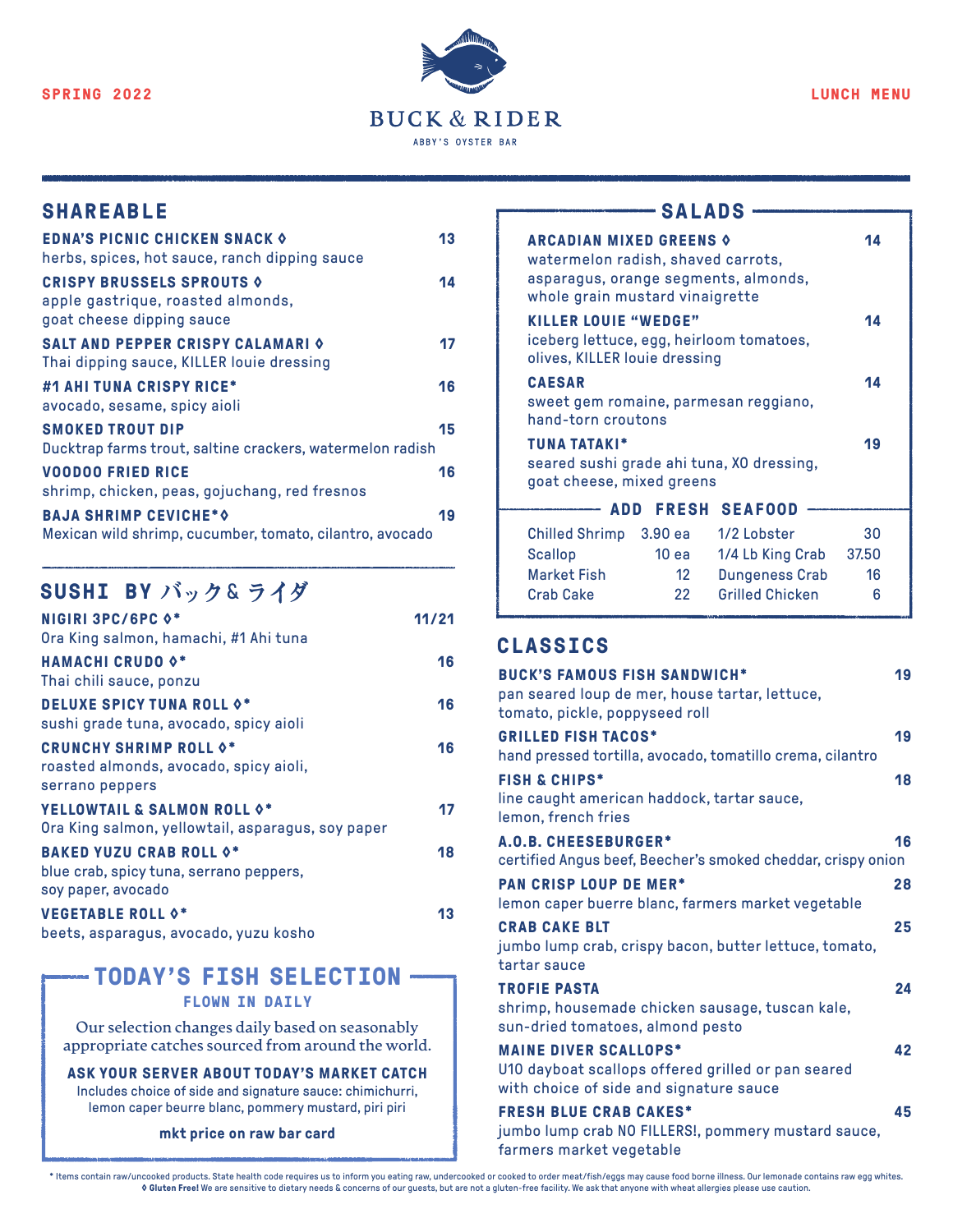

# SHAREABLE SHAREABLE SALADS

| <b>EDNA'S PICNIC CHICKEN SNACK OF</b><br>herbs, spices, hot sauce, ranch dipping sauce                 | 13 |
|--------------------------------------------------------------------------------------------------------|----|
| <b>CRISPY BRUSSELS SPROUTS &amp;</b><br>apple gastrique, roasted almonds,<br>goat cheese dipping sauce | 14 |
| <b>SALT AND PEPPER CRISPY CALAMARI O</b><br>Thai dipping sauce, KILLER louie dressing                  | 17 |
| #1 AHI TUNA CRISPY RICE*<br>avocado, sesame, spicy aioli                                               | 16 |
| <b>SMOKED TROUT DIP</b><br>Ducktrap farms trout, saltine crackers, watermelon radish                   | 15 |
| <b>VOODOO FRIED RICE</b><br>shrimp, chicken, peas, gojuchang, red fresnos                              | 16 |
| <b>BAJA SHRIMP CEVICHE*O</b><br>Mexican wild shrimp, cucumber, tomato, cilantro, avocado               | 19 |

# **SUSHI BY バック** & **ライダ**

| <b>NIGIRI 3PC/6PC 0*</b><br>Ora King salmon, hamachi, #1 Ahi tuna                                                | 11/21 |
|------------------------------------------------------------------------------------------------------------------|-------|
| <b>HAMACHI CRUDO 0*</b><br>Thai chili sauce, ponzu                                                               | 16    |
| <b>DELUXE SPICY TUNA ROLL 0*</b><br>sushi grade tuna, avocado, spicy aioli                                       | 16    |
| <b>CRUNCHY SHRIMP ROLL 0*</b><br>roasted almonds, avocado, spicy aioli,<br>serrano peppers                       | 16    |
| <b>YELLOWTAIL &amp; SALMON ROLL <math>\diamond^*</math></b><br>Ora King salmon, yellowtail, asparagus, soy paper | 17    |
| <b>BAKED YUZU CRAB ROLL 0*</b><br>blue crab, spicy tuna, serrano peppers,<br>soy paper, avocado                  | 18    |
| <b>VEGETABLE ROLL 0*</b><br>beets, asparagus, avocado, yuzu kosho                                                | 13    |

# **TODAY'S FISH SELECTION**

### **FLOWN IN DAILY**

**Our selection changes daily based on seasonably appropriate catches sourced from around the world.**

**ASK YOUR SERVER ABOUT TODAY'S MARKET CATCH** Includes choice of side and signature sauce: chimichurri, lemon caper beurre blanc, pommery mustard, piri piri

#### **mkt price on raw bar card**

| <b>ARCADIAN MIXED GREENS 0</b><br>watermelon radish, shaved carrots,<br>asparagus, orange segments, almonds,<br>whole grain mustard vinaigrette |       |                                           | 14    |
|-------------------------------------------------------------------------------------------------------------------------------------------------|-------|-------------------------------------------|-------|
| <b>KILLER LOUIE "WEDGE"</b><br>iceberg lettuce, egg, heirloom tomatoes,<br>olives, KILLER louie dressing                                        |       |                                           | 14    |
| <b>CAESAR</b><br>sweet gem romaine, parmesan reggiano,<br>hand-torn croutons                                                                    |       |                                           | 14    |
| <b>TUNA TATAKI*</b><br>goat cheese, mixed greens                                                                                                |       | seared sushi grade ahi tuna, XO dressing, | 19    |
|                                                                                                                                                 |       | <b>ADD FRESH SEAFOOD</b>                  |       |
| <b>Chilled Shrimp</b>                                                                                                                           |       | 3.90 ea 1/2 Lobster                       | 30    |
| Scallop                                                                                                                                         | 10 еа | 1/4 Lb King Crab                          | 37.50 |
| <b>Market Fish</b>                                                                                                                              | 12    | <b>Dungeness Crab</b>                     | 16    |

Grilled Chicken 6

#### **CLASSICS**

Crab Cake 22

| <b>BUCK'S FAMOUS FISH SANDWICH*</b><br>pan seared loup de mer, house tartar, lettuce,<br>tomato, pickle, poppyseed roll       | 19 |
|-------------------------------------------------------------------------------------------------------------------------------|----|
| <b>GRILLED FISH TACOS*</b><br>hand pressed tortilla, avocado, tomatillo crema, cilantro                                       | 19 |
| <b>FISH &amp; CHIPS*</b><br>line caught american haddock, tartar sauce,<br>lemon, french fries                                | 18 |
| <b>A.O.B. CHEESEBURGER*</b><br>certified Angus beef, Beecher's smoked cheddar, crispy onion                                   | 16 |
| <b>PAN CRISP LOUP DE MER*</b><br>lemon caper buerre blanc, farmers market vegetable                                           | 28 |
| <b>CRAB CAKE BLT</b><br>jumbo lump crab, crispy bacon, butter lettuce, tomato,<br>tartar sauce                                | 25 |
| <b>TROFIE PASTA</b><br>shrimp, housemade chicken sausage, tuscan kale,<br>sun-dried tomatoes, almond pesto                    | 24 |
| <b>MAINE DIVER SCALLOPS*</b><br>U10 dayboat scallops offered grilled or pan seared<br>with choice of side and signature sauce | 42 |
| <b>FRESH BLUE CRAB CAKES*</b><br>jumbo lump crab NO FILLERS!, pommery mustard sauce,<br>farmers market vegetable              | 45 |

tems contain raw/uncooked products. State health code requires us to inform you eating raw, undercooked or cooked to order meat/fish/eggs may cause food borne illness. Our lemonade contains raw egg whites. والالعب o Gluten